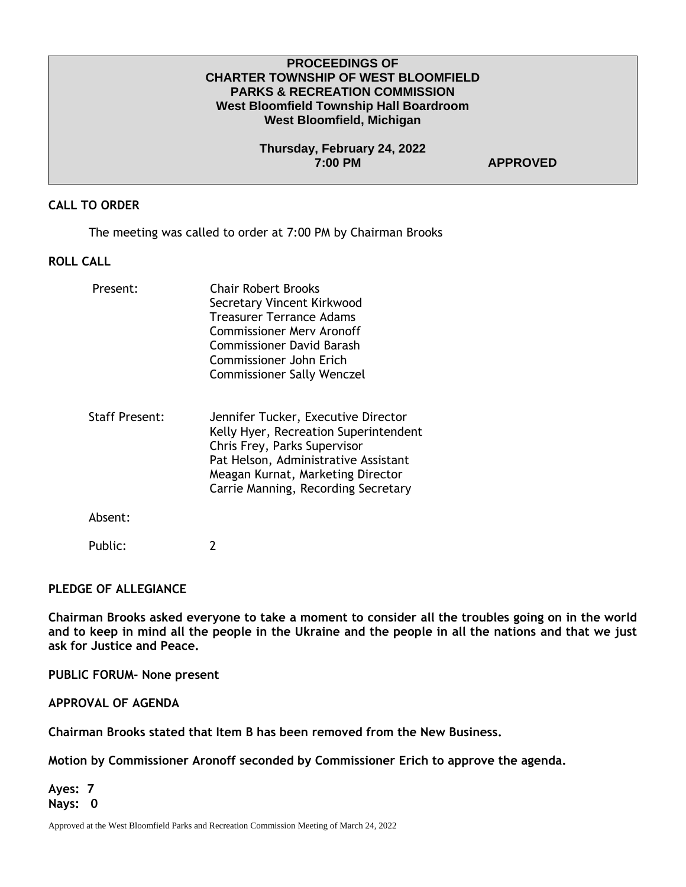# **PROCEEDINGS OF CHARTER TOWNSHIP OF WEST BLOOMFIELD PARKS & RECREATION COMMISSION West Bloomfield Township Hall Boardroom West Bloomfield, Michigan**

**Thursday, February 24, 2022 7:00 PM APPROVED** 

# **CALL TO ORDER**

The meeting was called to order at 7:00 PM by Chairman Brooks

# **ROLL CALL**

| Present:              | <b>Chair Robert Brooks</b><br>Secretary Vincent Kirkwood<br>Treasurer Terrance Adams<br>Commissioner Mery Aronoff<br><b>Commissioner David Barash</b><br>Commissioner John Erich<br><b>Commissioner Sally Wenczel</b>            |
|-----------------------|----------------------------------------------------------------------------------------------------------------------------------------------------------------------------------------------------------------------------------|
| <b>Staff Present:</b> | Jennifer Tucker, Executive Director<br>Kelly Hyer, Recreation Superintendent<br>Chris Frey, Parks Supervisor<br>Pat Helson, Administrative Assistant<br>Meagan Kurnat, Marketing Director<br>Carrie Manning, Recording Secretary |
| Absent:               |                                                                                                                                                                                                                                  |
| Public:               |                                                                                                                                                                                                                                  |

### **PLEDGE OF ALLEGIANCE**

**Chairman Brooks asked everyone to take a moment to consider all the troubles going on in the world and to keep in mind all the people in the Ukraine and the people in all the nations and that we just ask for Justice and Peace.** 

**PUBLIC FORUM- None present**

**APPROVAL OF AGENDA**

**Chairman Brooks stated that Item B has been removed from the New Business.**

**Motion by Commissioner Aronoff seconded by Commissioner Erich to approve the agenda.** 

**Ayes: 7 Nays: 0** 

Approved at the West Bloomfield Parks and Recreation Commission Meeting of March 24, 2022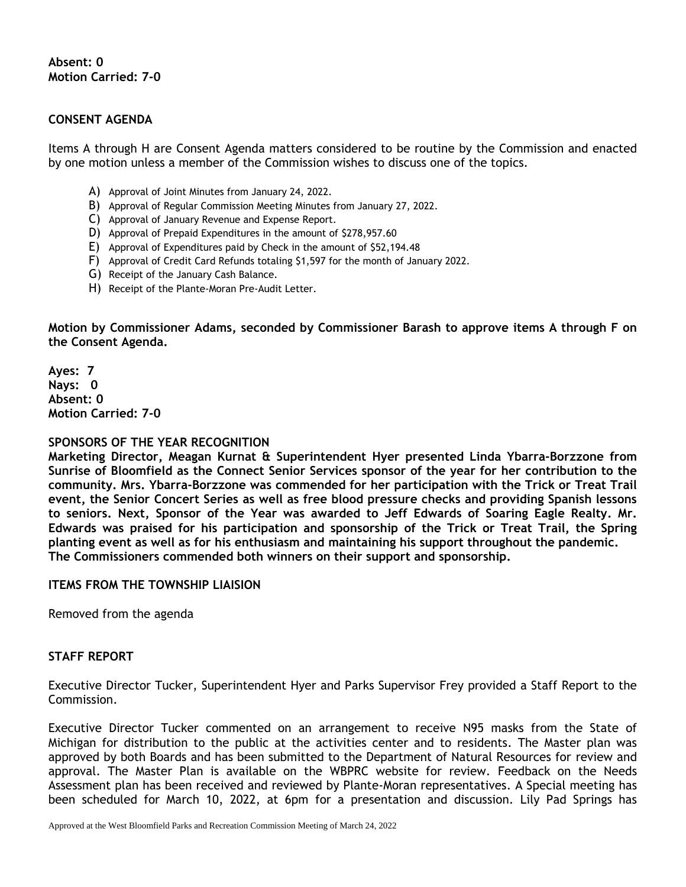**Absent: 0 Motion Carried: 7-0**

# **CONSENT AGENDA**

Items A through H are Consent Agenda matters considered to be routine by the Commission and enacted by one motion unless a member of the Commission wishes to discuss one of the topics.

- A) Approval of Joint Minutes from January 24, 2022.
- B) Approval of Regular Commission Meeting Minutes from January 27, 2022.
- C) Approval of January Revenue and Expense Report.
- D) Approval of Prepaid Expenditures in the amount of \$278,957.60
- E) Approval of Expenditures paid by Check in the amount of \$52,194.48
- F) Approval of Credit Card Refunds totaling \$1,597 for the month of January 2022.
- G) Receipt of the January Cash Balance.
- H) Receipt of the Plante-Moran Pre-Audit Letter.

**Motion by Commissioner Adams, seconded by Commissioner Barash to approve items A through F on the Consent Agenda.**

**Ayes: 7 Nays: 0 Absent: 0 Motion Carried: 7-0**

#### **SPONSORS OF THE YEAR RECOGNITION**

**Marketing Director, Meagan Kurnat & Superintendent Hyer presented Linda Ybarra-Borzzone from Sunrise of Bloomfield as the Connect Senior Services sponsor of the year for her contribution to the community. Mrs. Ybarra-Borzzone was commended for her participation with the Trick or Treat Trail event, the Senior Concert Series as well as free blood pressure checks and providing Spanish lessons to seniors. Next, Sponsor of the Year was awarded to Jeff Edwards of Soaring Eagle Realty. Mr. Edwards was praised for his participation and sponsorship of the Trick or Treat Trail, the Spring planting event as well as for his enthusiasm and maintaining his support throughout the pandemic. The Commissioners commended both winners on their support and sponsorship.**

# **ITEMS FROM THE TOWNSHIP LIAISION**

Removed from the agenda

### **STAFF REPORT**

Executive Director Tucker, Superintendent Hyer and Parks Supervisor Frey provided a Staff Report to the Commission.

Executive Director Tucker commented on an arrangement to receive N95 masks from the State of Michigan for distribution to the public at the activities center and to residents. The Master plan was approved by both Boards and has been submitted to the Department of Natural Resources for review and approval. The Master Plan is available on the WBPRC website for review. Feedback on the Needs Assessment plan has been received and reviewed by Plante-Moran representatives. A Special meeting has been scheduled for March 10, 2022, at 6pm for a presentation and discussion. Lily Pad Springs has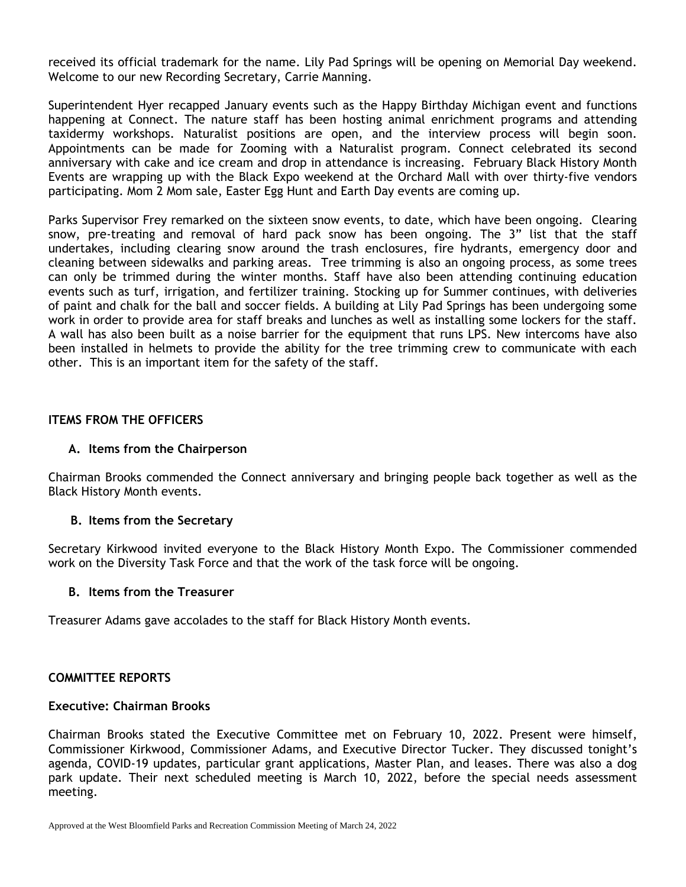received its official trademark for the name. Lily Pad Springs will be opening on Memorial Day weekend. Welcome to our new Recording Secretary, Carrie Manning.

Superintendent Hyer recapped January events such as the Happy Birthday Michigan event and functions happening at Connect. The nature staff has been hosting animal enrichment programs and attending taxidermy workshops. Naturalist positions are open, and the interview process will begin soon. Appointments can be made for Zooming with a Naturalist program. Connect celebrated its second anniversary with cake and ice cream and drop in attendance is increasing. February Black History Month Events are wrapping up with the Black Expo weekend at the Orchard Mall with over thirty-five vendors participating. Mom 2 Mom sale, Easter Egg Hunt and Earth Day events are coming up.

Parks Supervisor Frey remarked on the sixteen snow events, to date, which have been ongoing. Clearing snow, pre-treating and removal of hard pack snow has been ongoing. The 3" list that the staff undertakes, including clearing snow around the trash enclosures, fire hydrants, emergency door and cleaning between sidewalks and parking areas. Tree trimming is also an ongoing process, as some trees can only be trimmed during the winter months. Staff have also been attending continuing education events such as turf, irrigation, and fertilizer training. Stocking up for Summer continues, with deliveries of paint and chalk for the ball and soccer fields. A building at Lily Pad Springs has been undergoing some work in order to provide area for staff breaks and lunches as well as installing some lockers for the staff. A wall has also been built as a noise barrier for the equipment that runs LPS. New intercoms have also been installed in helmets to provide the ability for the tree trimming crew to communicate with each other. This is an important item for the safety of the staff.

# **ITEMS FROM THE OFFICERS**

# **A. Items from the Chairperson**

Chairman Brooks commended the Connect anniversary and bringing people back together as well as the Black History Month events.

### **B. Items from the Secretary**

Secretary Kirkwood invited everyone to the Black History Month Expo. The Commissioner commended work on the Diversity Task Force and that the work of the task force will be ongoing.

### **B. Items from the Treasurer**

Treasurer Adams gave accolades to the staff for Black History Month events.

# **COMMITTEE REPORTS**

### **Executive: Chairman Brooks**

Chairman Brooks stated the Executive Committee met on February 10, 2022. Present were himself, Commissioner Kirkwood, Commissioner Adams, and Executive Director Tucker. They discussed tonight's agenda, COVID-19 updates, particular grant applications, Master Plan, and leases. There was also a dog park update. Their next scheduled meeting is March 10, 2022, before the special needs assessment meeting.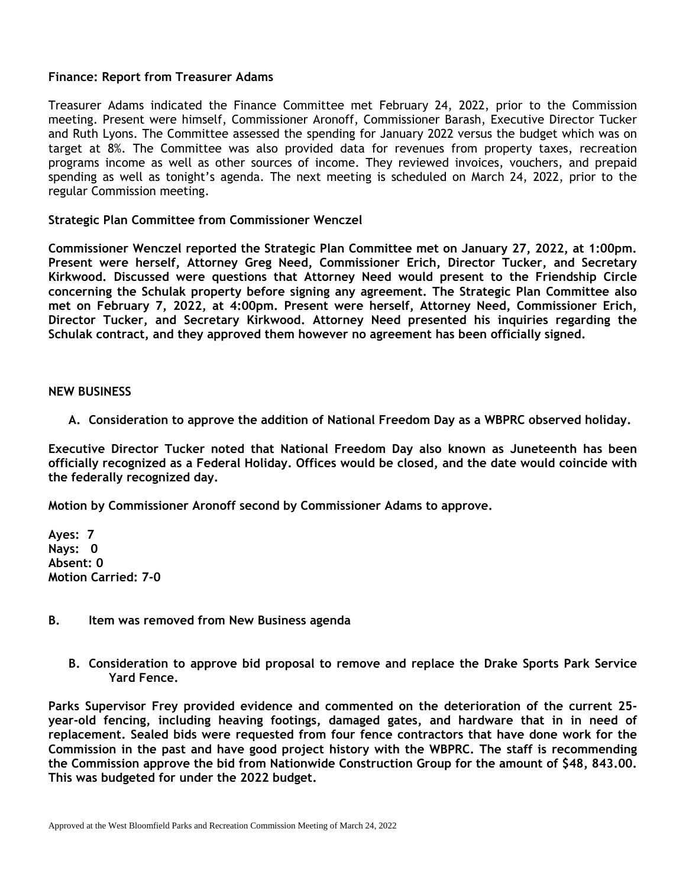# **Finance: Report from Treasurer Adams**

Treasurer Adams indicated the Finance Committee met February 24, 2022, prior to the Commission meeting. Present were himself, Commissioner Aronoff, Commissioner Barash, Executive Director Tucker and Ruth Lyons. The Committee assessed the spending for January 2022 versus the budget which was on target at 8%. The Committee was also provided data for revenues from property taxes, recreation programs income as well as other sources of income. They reviewed invoices, vouchers, and prepaid spending as well as tonight's agenda. The next meeting is scheduled on March 24, 2022, prior to the regular Commission meeting.

# **Strategic Plan Committee from Commissioner Wenczel**

**Commissioner Wenczel reported the Strategic Plan Committee met on January 27, 2022, at 1:00pm. Present were herself, Attorney Greg Need, Commissioner Erich, Director Tucker, and Secretary Kirkwood. Discussed were questions that Attorney Need would present to the Friendship Circle concerning the Schulak property before signing any agreement. The Strategic Plan Committee also met on February 7, 2022, at 4:00pm. Present were herself, Attorney Need, Commissioner Erich, Director Tucker, and Secretary Kirkwood. Attorney Need presented his inquiries regarding the Schulak contract, and they approved them however no agreement has been officially signed.**

### **NEW BUSINESS**

**A. Consideration to approve the addition of National Freedom Day as a WBPRC observed holiday.**

**Executive Director Tucker noted that National Freedom Day also known as Juneteenth has been officially recognized as a Federal Holiday. Offices would be closed, and the date would coincide with the federally recognized day.** 

**Motion by Commissioner Aronoff second by Commissioner Adams to approve.**

**Ayes: 7 Nays: 0 Absent: 0 Motion Carried: 7-0**

### **B. Item was removed from New Business agenda**

**B. Consideration to approve bid proposal to remove and replace the Drake Sports Park Service Yard Fence.**

**Parks Supervisor Frey provided evidence and commented on the deterioration of the current 25 year-old fencing, including heaving footings, damaged gates, and hardware that in in need of replacement. Sealed bids were requested from four fence contractors that have done work for the Commission in the past and have good project history with the WBPRC. The staff is recommending the Commission approve the bid from Nationwide Construction Group for the amount of \$48, 843.00. This was budgeted for under the 2022 budget.**